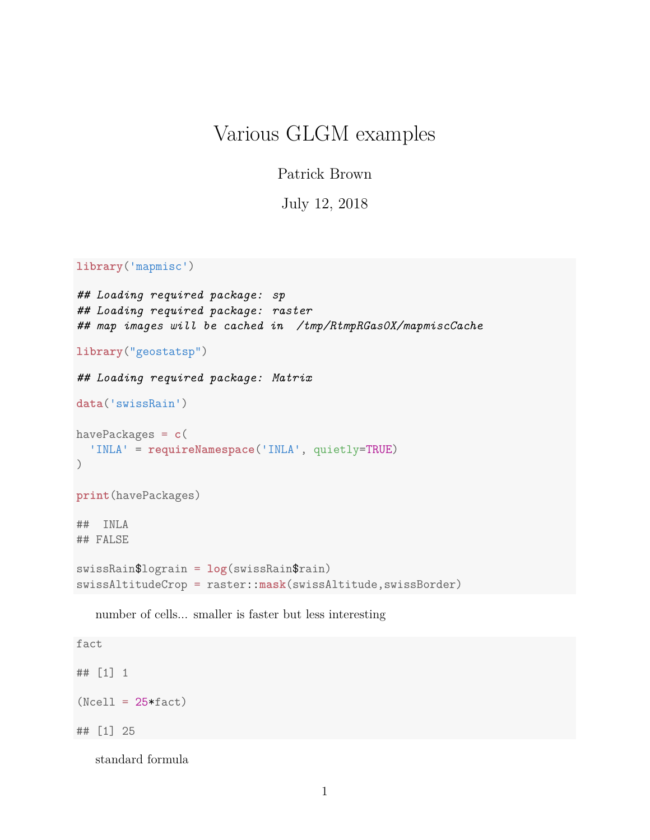## Various GLGM examples

Patrick Brown

July 12, 2018

**library**('mapmisc')

```
## Loading required package: sp
## Loading required package: raster
## map images will be cached in /tmp/RtmpRGas0X/mapmiscCache
library("geostatsp")
## Loading required package: Matrix
data('swissRain')
havePackages = c(
 'INLA' = requireNamespace('INLA', quietly=TRUE)
\left( \right)print(havePackages)
## INLA
## FALSE
swissRain$lograin = log(swissRain$rain)
swissAltitudeCrop = raster::mask(swissAltitude,swissBorder)
```
number of cells... smaller is faster but less interesting

fact ## [1] 1  $(Ncell = 25 * fact)$ ## [1] 25

standard formula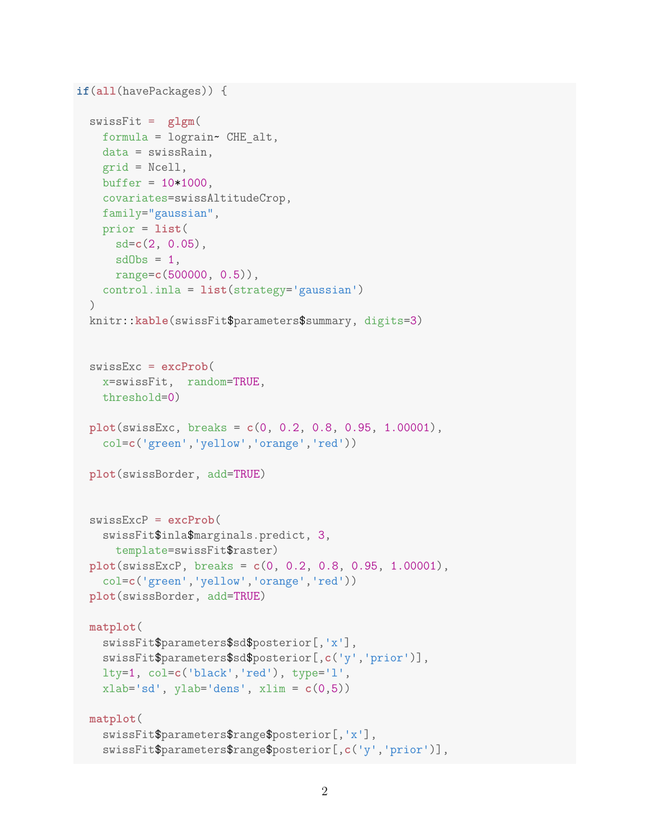```
if(all(havePackages)) {
 swissFit = glgm(
   formula = lograin~ CHE_alt,
   data = swissRain,
   grid = Ncell,
   buffer = 10*1000,covariates=swissAltitudeCrop,
   family="gaussian",
   prior = list(
     sd=c(2, 0.05),
     sdObs = 1,
     range=c(500000, 0.5)),
   control.inla = list(strategy='gaussian')
 )knitr::kable(swissFit$parameters$summary, digits=3)
 swissExc = excProb(
   x=swissFit, random=TRUE,
   threshold=0)
 plot(swissExc, breaks = c(0, 0.2, 0.8, 0.95, 1.00001),
    col=c('green','yellow','orange','red'))
 plot(swissBorder, add=TRUE)
 swissExcP = excProb(
    swissFit$inla$marginals.predict, 3,
     template=swissFit$raster)
 plot(swissExcP, breaks = c(0, 0.2, 0.8, 0.95, 1.00001),
    col=c('green','yellow','orange','red'))
 plot(swissBorder, add=TRUE)
 matplot(
   swissFit$parameters$sd$posterior[,'x'],
    swissFit$parameters$sd$posterior[,c('y','prior')],
   lty=1, col=c('black','red'), type='l',
    xlab='sd', ylab='dens', xlim = c(0,5))
 matplot(
   swissFit$parameters$range$posterior[,'x'],
    swissFit$parameters$range$posterior[,c('y','prior')],
```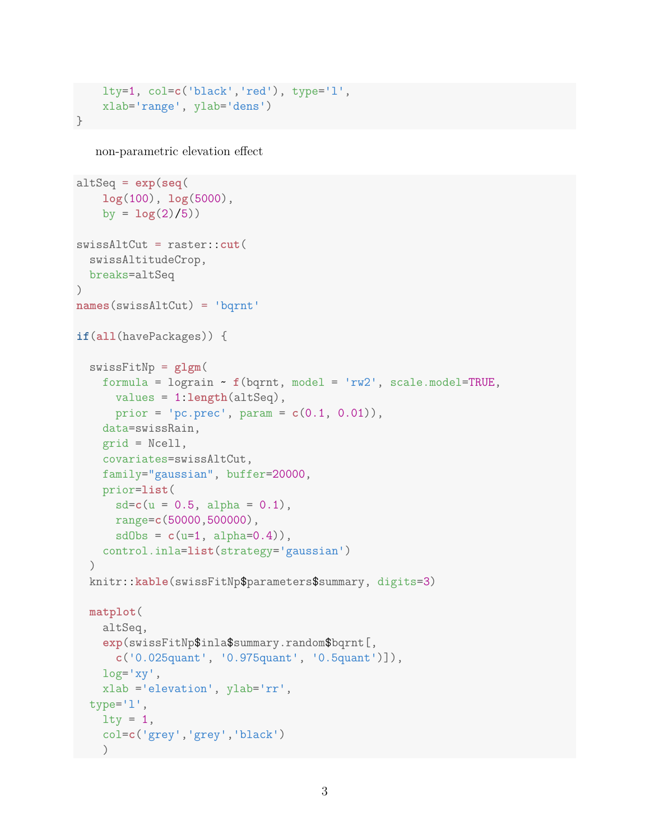```
lty=1, col=c('black','red'), type='l',
    xlab='range', ylab='dens')
}
```
non-parametric elevation effect

```
altSeq = exp(seq(
    log(100), log(5000),
    by = log(2)/5))
swissAltCut = raster::cut(
  swissAltitudeCrop,
 breaks=altSeq
\left( \right)names(swissAltCut) = 'bqrnt'
if(all(havePackages)) {
  swissFitNp = glgm(
    formula = lograin ~ f(bqrnt, model = 'rw2', scale.model=TRUE,
      values = 1:length(altSeq),
      prior = 'pc.prec', param = c(0.1, 0.01)),
    data=swissRain,
    grid = Ncell,
    covariates=swissAltCut,
    family="gaussian", buffer=20000,
    prior=list(
      sd = c(u = 0.5, alpha = 0.1),
      range=c(50000,500000),
      sdObs = c(u=1, alpha=0.4)),control.inla=list(strategy='gaussian')
  )
  knitr::kable(swissFitNp$parameters$summary, digits=3)
  matplot(
    altSeq,
    exp(swissFitNp$inla$summary.random$bqrnt[,
      c('0.025quant', '0.975quant', '0.5quant')]),
    log='xy',
    xlab ='elevation', ylab='rr',
  type='l',
    lty = 1,
    col=c('grey','grey','black')
    )
```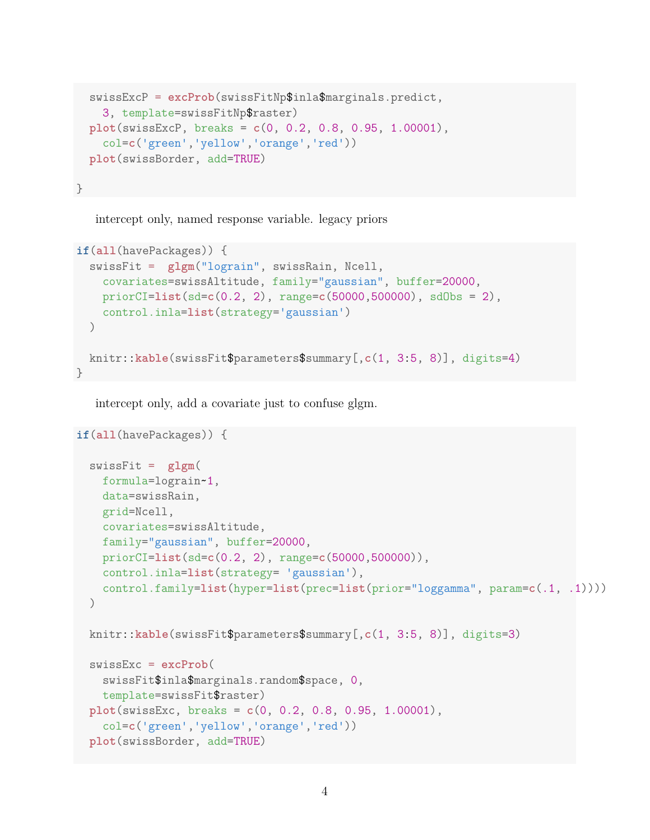```
swissExcP = excProb(swissFitNp$inla$marginals.predict,
  3, template=swissFitNp$raster)
plot(swissExcP, breaks = c(0, 0.2, 0.8, 0.95, 1.00001),
  col=c('green','yellow','orange','red'))
plot(swissBorder, add=TRUE)
```
}

intercept only, named response variable. legacy priors

```
if(all(havePackages)) {
 swissFit = glgm("lograin", swissRain, Ncell,
    covariates=swissAltitude, family="gaussian", buffer=20000,
    priorCI=list(sd=c(0.2, 2), range=c(50000,500000), sdObs = 2),
   control.inla=list(strategy='gaussian')
 )
 knitr::kable(swissFit$parameters$summary[,c(1, 3:5, 8)], digits=4)
}
```
intercept only, add a covariate just to confuse glgm.

```
if(all(havePackages)) {
  swissFit = glgm(
    formula=lograin~1,
    data=swissRain,
    grid=Ncell,
    covariates=swissAltitude,
    family="gaussian", buffer=20000,
    priorCI=list(sd=c(0.2, 2), range=c(50000,500000)),
    control.inla=list(strategy= 'gaussian'),
    control.family=list(hyper=list(prec=list(prior="loggamma", param=c(.1, .1))))
  \lambdaknitr::kable(swissFit$parameters$summary[,c(1, 3:5, 8)], digits=3)
  swissExc = excProb(
    swissFit$inla$marginals.random$space, 0,
   template=swissFit$raster)
  plot(swissExc, breaks = c(0, 0.2, 0.8, 0.95, 1.00001),
    col=c('green','yellow','orange','red'))
  plot(swissBorder, add=TRUE)
```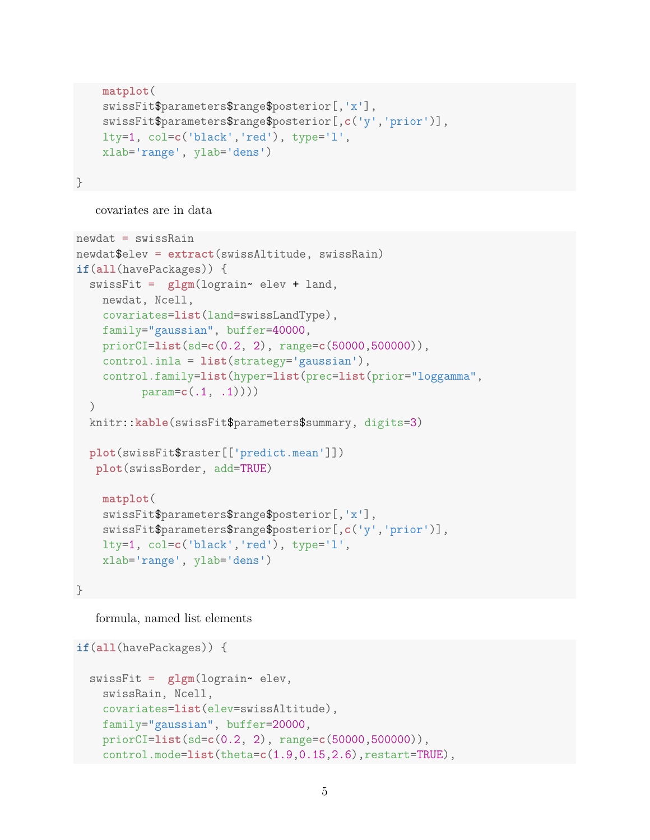```
matplot(
swissFit$parameters$range$posterior[,'x'],
swissFit$parameters$range$posterior[,c('y','prior')],
lty=1, col=c('black','red'), type='l',
xlab='range', ylab='dens')
```
}

covariates are in data

```
newdat = swissRain
newdat$elev = extract(swissAltitude, swissRain)
if(all(havePackages)) {
  swissFit = glgm(lograin~ elev + land,
    newdat, Ncell,
    covariates=list(land=swissLandType),
    family="gaussian", buffer=40000,
    priorCI=list(sd=c(0.2, 2), range=c(50000,500000)),
    control.inla = list(strategy='gaussian'),
    control.family=list(hyper=list(prec=list(prior="loggamma",
          param=c(.1, .1))))
  \lambdaknitr::kable(swissFit$parameters$summary, digits=3)
  plot(swissFit$raster[['predict.mean']])
  plot(swissBorder, add=TRUE)
    matplot(
    swissFit$parameters$range$posterior[,'x'],
    swissFit$parameters$range$posterior[,c('y','prior')],
    lty=1, col=c('black','red'), type='l',
    xlab='range', ylab='dens')
```
}

formula, named list elements

```
if(all(havePackages)) {
 swissFit = glgm(lograin~ elev,
    swissRain, Ncell,
    covariates=list(elev=swissAltitude),
   family="gaussian", buffer=20000,
    priorCI=list(sd=c(0.2, 2), range=c(50000,500000)),
    control.mode=list(theta=c(1.9,0.15,2.6),restart=TRUE),
```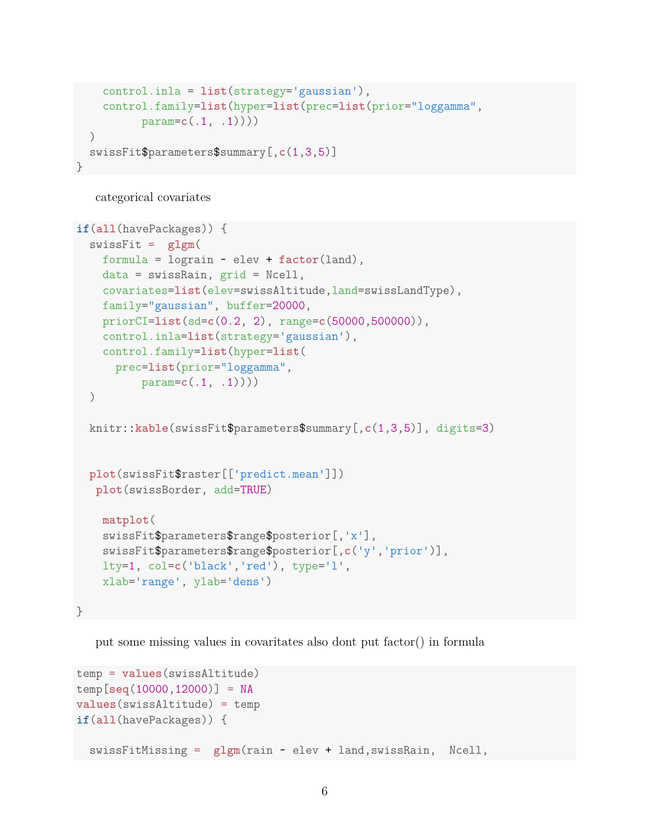```
control.inla = list(strategy='gaussian'),
    control.family=list(hyper=list(prec=list(prior="loggamma",
          param=c(.1, .1))))
  \lambdaswissFit$parameters$summary[,c(1,3,5)]
}
```
categorical covariates

```
if(all(havePackages)) {
 swissFit = glgm(
    formula = lograin ~ elev + factor(land),
    data = swissRain, grid = Ncell,
    covariates=list(elev=swissAltitude,land=swissLandType),
   family="gaussian", buffer=20000,
    priorCI=list(sd=c(0.2, 2), range=c(50000,500000)),
    control.inla=list(strategy='gaussian'),
    control.family=list(hyper=list(
     prec=list(prior="loggamma",
          param=c(.1, .1))))
 )
 knitr::kable(swissFit$parameters$summary[,c(1,3,5)], digits=3)
 plot(swissFit$raster[['predict.mean']])
  plot(swissBorder, add=TRUE)
   matplot(
    swissFit$parameters$range$posterior[,'x'],
    swissFit$parameters$range$posterior[,c('y','prior')],
   lty=1, col=c('black','red'), type='l',
    xlab='range', ylab='dens')
}
```
put some missing values in covaritates also dont put factor() in formula

```
temp = values(swissAltitude)
temp[seq(10000,12000)] = NA
values(swissAltitude) = temp
if(all(havePackages)) {
 swissFitMissing = glgm(rain ~ elev + land,swissRain, Ncell,
```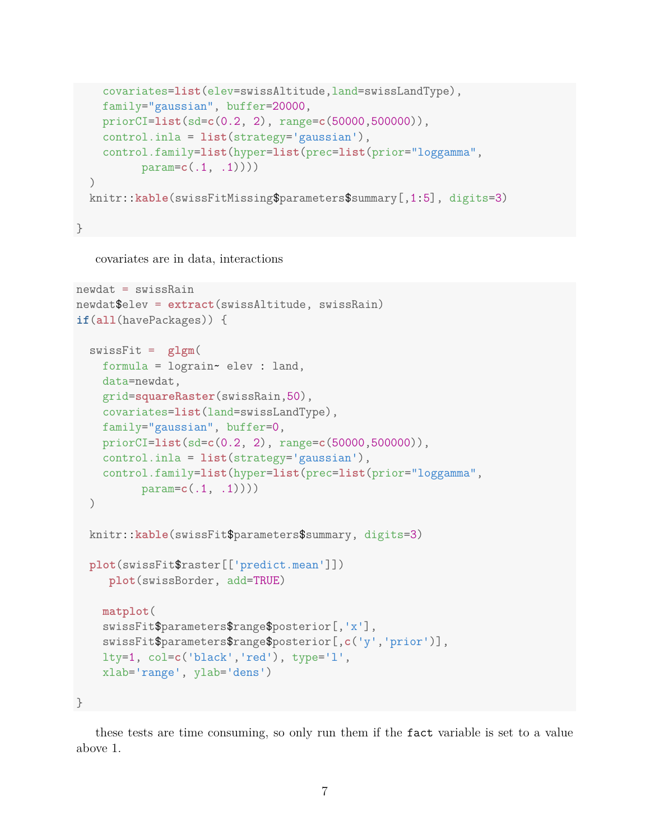```
covariates=list(elev=swissAltitude,land=swissLandType),
  family="gaussian", buffer=20000,
  priorCI=list(sd=c(0.2, 2), range=c(50000,500000)),
  control.inla = list(strategy='gaussian'),
  control.family=list(hyper=list(prec=list(prior="loggamma",
        param=c(.1, .1))))
)
knitr::kable(swissFitMissing$parameters$summary[,1:5], digits=3)
```

```
}
```
covariates are in data, interactions

```
newdat = swissRain
newdat$elev = extract(swissAltitude, swissRain)
if(all(havePackages)) {
 swissFit = glgm(
   formula = lograin~ elev : land,
    data=newdat,
    grid=squareRaster(swissRain,50),
    covariates=list(land=swissLandType),
    family="gaussian", buffer=0,
    priorCI=list(sd=c(0.2, 2), range=c(50000,500000)),
    control.inla = list(strategy='gaussian'),
    control.family=list(hyper=list(prec=list(prior="loggamma",
          param=c(.1, .1))))
 )
 knitr::kable(swissFit$parameters$summary, digits=3)
 plot(swissFit$raster[['predict.mean']])
    plot(swissBorder, add=TRUE)
   matplot(
    swissFit$parameters$range$posterior[,'x'],
    swissFit$parameters$range$posterior[,c('y','prior')],
    lty=1, col=c('black','red'), type='l',
    xlab='range', ylab='dens')
```
}

these tests are time consuming, so only run them if the fact variable is set to a value above 1.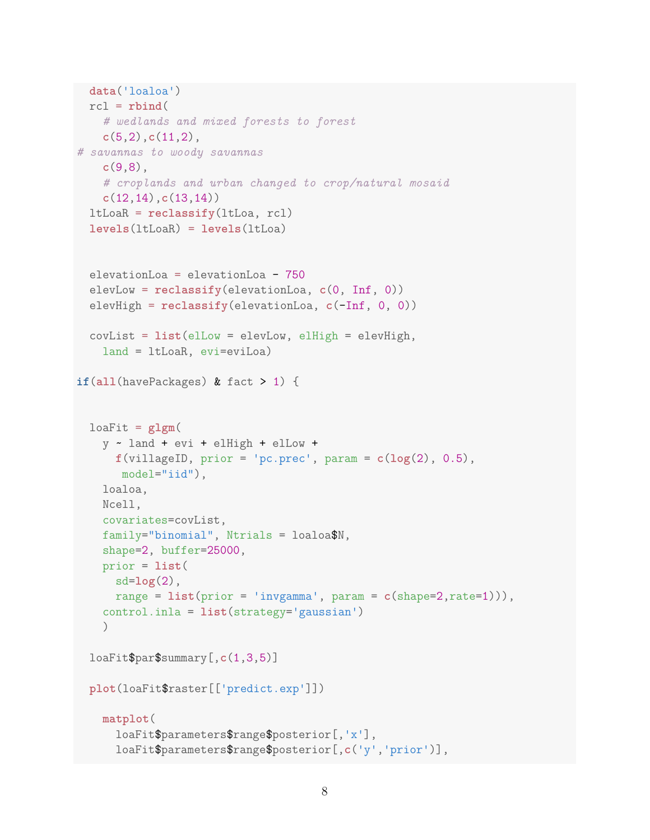```
data('loaloa')
  rcl = rbind(
    # wedlands and mixed forests to forest
    c(5,2),c(11,2),
# savannas to woody savannas
    c(9,8),
    # croplands and urban changed to crop/natural mosaid
    c(12,14),c(13,14))
  ltLoaR = reclassify(ltLoa, rcl)
  levels(ltLoaR) = levels(ltLoa)
  elevationLoa = elevationLoa - 750
  elevLow = reclassify(elevationLoa, c(0, Inf, 0))
  elevHigh = reclassify(elevationLoa, c(-Inf, 0, 0))
  covList = list(elLow = elevLow, elHigh = elevHigh,
    land = ltLoaR, evi=eviLoa)
if(all(havePackages) & fact > 1) {
  loafit = glgm(y ~ land + evi + elHigh + elLow +
      f(villageID, prior = 'pc.prec', param = c(log(2), 0.5),
       model="iid"),
    loaloa,
    Ncell,
    covariates=covList,
    family="binomial", Ntrials = loaloa$N,
    shape=2, buffer=25000,
    prior = list(
      sd=log(2),
     range = list(prior = 'invgamma', param = c(shape=2,rate=1))),
    control.inla = list(strategy='gaussian')
    \left( \right)loaFit$par$summary[,c(1,3,5)]
  plot(loaFit$raster[['predict.exp']])
    matplot(
      loaFit$parameters$range$posterior[,'x'],
      loaFit$parameters$range$posterior[,c('y','prior')],
```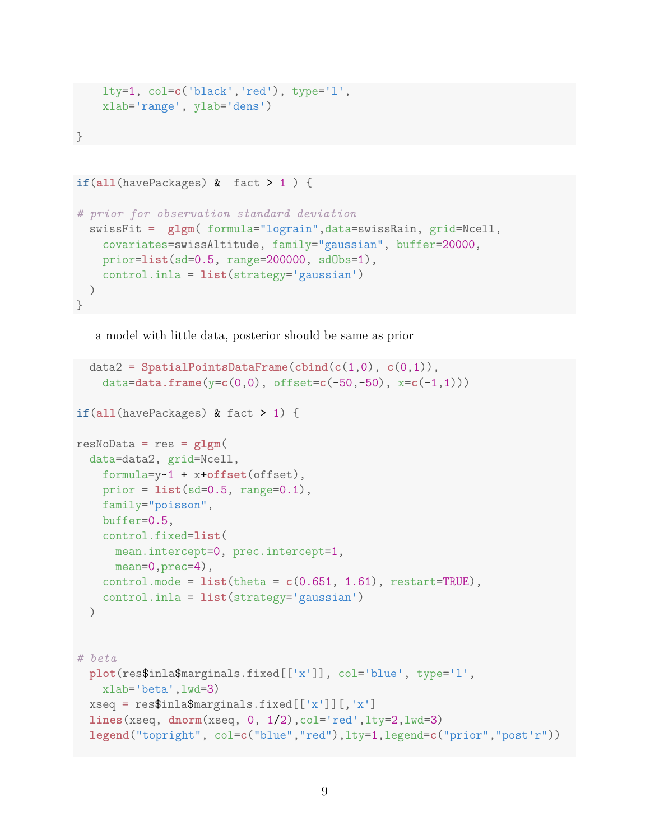```
lty=1, col=c('black','red'), type='l',
    xlab='range', ylab='dens')
}
```

```
if(all(havePackages) & fact > 1)# prior for observation standard deviation
 swissFit = glgm( formula="lograin",data=swissRain, grid=Ncell,
   covariates=swissAltitude, family="gaussian", buffer=20000,
   prior=list(sd=0.5, range=200000, sdObs=1),
   control.inla = list(strategy='gaussian')
 )
}
```
a model with little data, posterior should be same as prior

```
data2 = SpatialPointsDataFrame(cbind(c(1,0), c(0,1)),
    data=data.frame(y=c(0,0), offset=c(-50,-50), x=c(-1,1)))
if(all(havePackages) & fact > 1) {
resNoData = res = glgm(
 data=data2, grid=Ncell,
   formula=y~1 + x+offset(offset),
   prior = list(sd=0.5, range=0.1),
   family="poisson",
   buffer=0.5,
   control.fixed=list(
     mean.intercept=0, prec.intercept=1,
     mean=0, prec=4),
   control.mode = list(theta = c(0.651, 1.61), restart=TRUE),
    control.inla = list(strategy='gaussian')
 )
# beta
 plot(res$inla$marginals.fixed[['x']], col='blue', type='l',
   xlab='beta',lwd=3)
 xseq = res$inla$maxgnals.fixed[['x']][,'x']lines(xseq, dnorm(xseq, 0, 1/2),col='red',lty=2,lwd=3)
 legend("topright", col=c("blue","red"),lty=1,legend=c("prior","post'r"))
```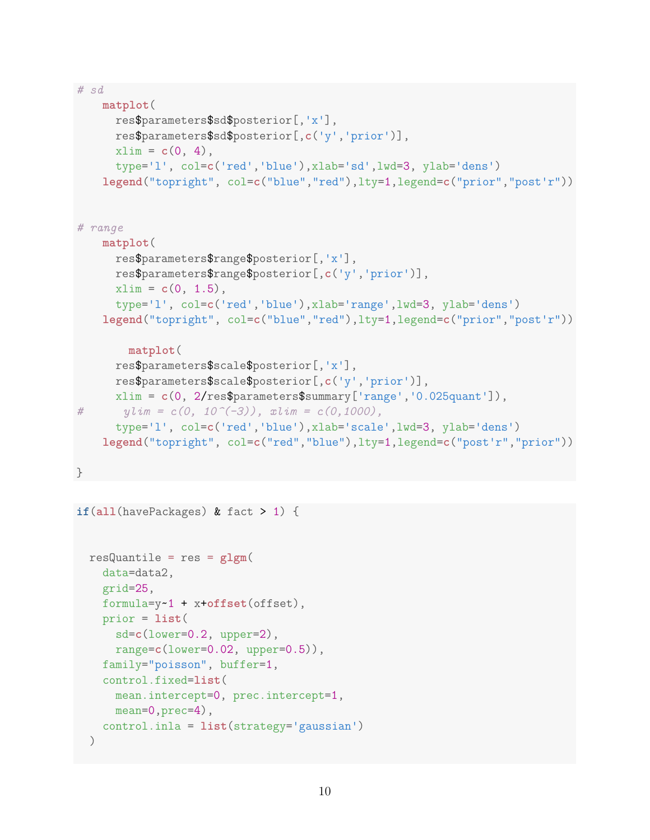```
# sd
   matplot(
      res$parameters$sd$posterior[,'x'],
      res$parameters$sd$posterior[,c('y','prior')],
      xlim = c(0, 4),
      type='l', col=c('red','blue'),xlab='sd',lwd=3, ylab='dens')
    legend("topright", col=c("blue","red"),lty=1,legend=c("prior","post'r"))
# range
   matplot(
      res$parameters$range$posterior[,'x'],
      res$parameters$range$posterior[,c('y','prior')],
      xlim = c(0, 1.5),type='l', col=c('red','blue'),xlab='range',lwd=3, ylab='dens')
    legend("topright", col=c("blue","red"),lty=1,legend=c("prior","post'r"))
        matplot(
     res$parameters$scale$posterior[,'x'],
      res$parameters$scale$posterior[,c('y','prior')],
     xlim = c(0, 2/res$parameters$summary['range','0.025quant']),
# ylim = c(0, 10^(-3)), xlim = c(0,1000),
      type='l', col=c('red','blue'),xlab='scale',lwd=3, ylab='dens')
    legend("topright", col=c("red","blue"),lty=1,legend=c("post'r","prior"))
}
if(all(havePackages) & fact > 1) {
 resQuantile = res = glgm(
    data=data2,
    grid=25,
    formula=y~1 + x+offset(offset),
    prior = list(
      sd=c(lower=0.2, upper=2),
      range=c(lower=0.02, upper=0.5)),
   family="poisson", buffer=1,
    control.fixed=list(
      mean.intercept=0, prec.intercept=1,
     mean=0,prec=4),
   control.inla = list(strategy='gaussian')
 )
```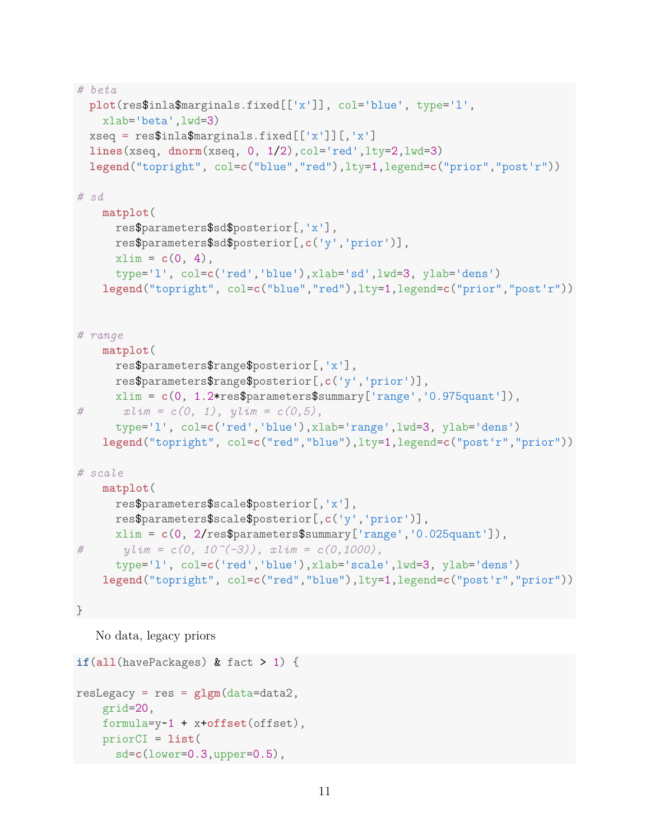```
# beta
 plot(res$inla$marginals.fixed[['x']], col='blue', type='l',
   xlab='beta',lwd=3)
 xseq = res$inla$maxgnals.fixed[['x']][,'x']lines(xseq, dnorm(xseq, 0, 1/2),col='red',lty=2,lwd=3)
 legend("topright", col=c("blue","red"),lty=1,legend=c("prior","post'r"))
# sd
   matplot(
     res$parameters$sd$posterior[,'x'],
     res$parameters$sd$posterior[,c('y','prior')],
     xlim = c(0, 4),
     type='l', col=c('red','blue'),xlab='sd',lwd=3, ylab='dens')
    legend("topright", col=c("blue","red"),lty=1,legend=c("prior","post'r"))
# range
   matplot(
     res$parameters$range$posterior[,'x'],
     res$parameters$range$posterior[,c('y','prior')],
     xlim = c(0, 1.2*res$parameters$summary['range','0.975quant']),
# xlim = c(0, 1), ylim = c(0,5),
     type='l', col=c('red','blue'),xlab='range',lwd=3, ylab='dens')
    legend("topright", col=c("red","blue"),lty=1,legend=c("post'r","prior"))
# scale
   matplot(
     res$parameters$scale$posterior[,'x'],
     res$parameters$scale$posterior[,c('y','prior')],
     xlim = c(0, 2/res$parameters$summary['range','0.025quant']),
# ylim = c(0, 10^(-3)), xlim = c(0,1000),
     type='l', col=c('red','blue'),xlab='scale',lwd=3, ylab='dens')
    legend("topright", col=c("red","blue"),lty=1,legend=c("post'r","prior"))
}
```
No data, legacy priors

```
if(all(havePackages) & fact > 1) {
resLegacy = res = glgm(data=data2,
    grid=20,
    formula=y~1 + x+offset(offset),
    priorCI = list(
      sd=c(lower=0.3,upper=0.5),
```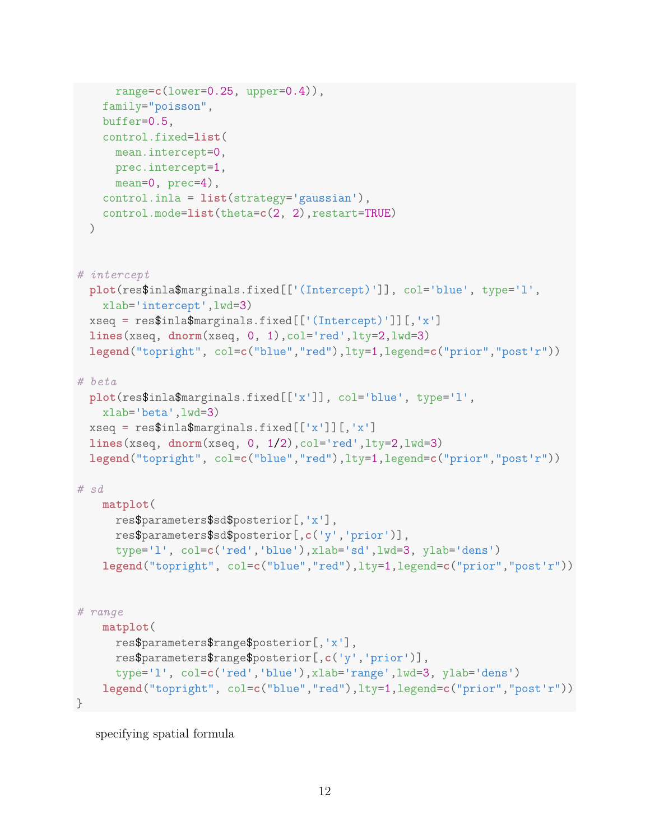```
range=c(lower=0.25, upper=0.4)),
   family="poisson",
   buffer=0.5,
   control.fixed=list(
     mean.intercept=0,
     prec.intercept=1,
     mean=0, prec=4),
   control.inla = list(strategy='gaussian'),
   control.mode=list(theta=c(2, 2),restart=TRUE)
 \lambda# intercept
 plot(res$inla$marginals.fixed[['(Intercept)']], col='blue', type='l',
   xlab='intercept',lwd=3)
 xseq = res$inla$marginals.fixed[['(Intercept)']][,'x']
 lines(xseq, dnorm(xseq, 0, 1),col='red',lty=2,lwd=3)
 legend("topright", col=c("blue","red"),lty=1,legend=c("prior","post'r"))
# beta
 plot(res$inla$marginals.fixed[['x']], col='blue', type='l',
   xlab='beta',lwd=3)
 xseq = res$inla$marginals.fitxd[['x']][,'x']lines(xseq, dnorm(xseq, 0, 1/2),col='red',lty=2,lwd=3)
 legend("topright", col=c("blue","red"),lty=1,legend=c("prior","post'r"))
# sd
   matplot(
     res$parameters$sd$posterior[,'x'],
     res$parameters$sd$posterior[,c('y','prior')],
      type='l', col=c('red','blue'),xlab='sd',lwd=3, ylab='dens')
   legend("topright", col=c("blue","red"),lty=1,legend=c("prior","post'r"))
# range
   matplot(
     res$parameters$range$posterior[,'x'],
     res$parameters$range$posterior[,c('y','prior')],
     type='l', col=c('red','blue'),xlab='range',lwd=3, ylab='dens')
   legend("topright", col=c("blue","red"),lty=1,legend=c("prior","post'r"))
```
}

specifying spatial formula